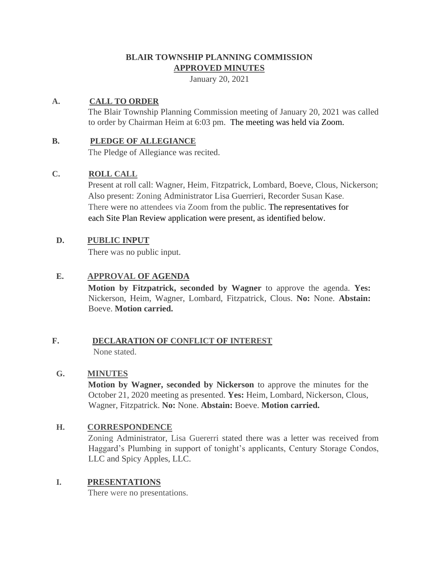# **BLAIR TOWNSHIP PLANNING COMMISSION APPROVED MINUTES**

January 20, 2021

# **A. CALL TO ORDER**

The Blair Township Planning Commission meeting of January 20, 2021 was called to order by Chairman Heim at 6:03 pm. The meeting was held via Zoom.

### **B. PLEDGE OF ALLEGIANCE**

The Pledge of Allegiance was recited.

### **C. ROLL CALL**

Present at roll call: Wagner, Heim, Fitzpatrick, Lombard, Boeve, Clous, Nickerson; Also present: Zoning Administrator Lisa Guerrieri, Recorder Susan Kase. There were no attendees via Zoom from the public. The representatives for each Site Plan Review application were present, as identified below.

### **D. PUBLIC INPUT**

There was no public input.

# **E. APPROVAL OF AGENDA**

**Motion by Fitzpatrick, seconded by Wagner** to approve the agenda. **Yes:**  Nickerson, Heim, Wagner, Lombard, Fitzpatrick, Clous. **No:** None. **Abstain:**  Boeve. **Motion carried.**

# **F. DECLARATION OF CONFLICT OF INTEREST** None stated.

# **G. MINUTES**

**Motion by Wagner, seconded by Nickerson** to approve the minutes for the October 21, 2020 meeting as presented. **Yes:** Heim, Lombard, Nickerson, Clous, Wagner, Fitzpatrick. **No:** None. **Abstain:** Boeve. **Motion carried.**

#### **H. CORRESPONDENCE**

Zoning Administrator, Lisa Guererri stated there was a letter was received from Haggard's Plumbing in support of tonight's applicants, Century Storage Condos, LLC and Spicy Apples, LLC.

### **I. PRESENTATIONS**

There were no presentations.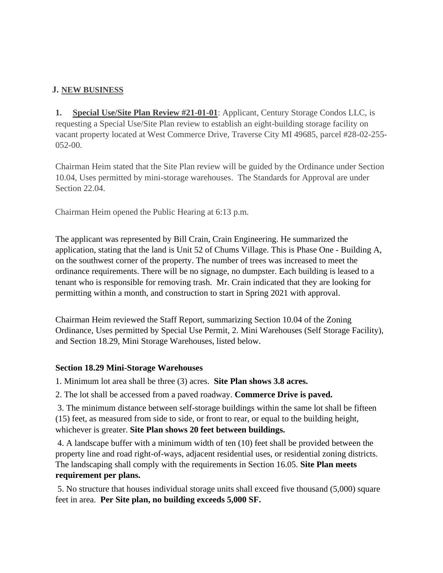# **J. NEW BUSINESS**

**1. Special Use/Site Plan Review #21-01-01**: Applicant, Century Storage Condos LLC, is requesting a Special Use/Site Plan review to establish an eight-building storage facility on vacant property located at West Commerce Drive, Traverse City MI 49685, parcel #28-02-255- 052-00.

Chairman Heim stated that the Site Plan review will be guided by the Ordinance under Section 10.04, Uses permitted by mini-storage warehouses. The Standards for Approval are under Section 22.04.

Chairman Heim opened the Public Hearing at 6:13 p.m.

The applicant was represented by Bill Crain, Crain Engineering. He summarized the application, stating that the land is Unit 52 of Chums Village. This is Phase One - Building A, on the southwest corner of the property. The number of trees was increased to meet the ordinance requirements. There will be no signage, no dumpster. Each building is leased to a tenant who is responsible for removing trash. Mr. Crain indicated that they are looking for permitting within a month, and construction to start in Spring 2021 with approval.

Chairman Heim reviewed the Staff Report, summarizing Section 10.04 of the Zoning Ordinance, Uses permitted by Special Use Permit, 2. Mini Warehouses (Self Storage Facility), and Section 18.29, Mini Storage Warehouses, listed below.

# **Section 18.29 Mini-Storage Warehouses**

1. Minimum lot area shall be three (3) acres. **Site Plan shows 3.8 acres.**

2. The lot shall be accessed from a paved roadway. **Commerce Drive is paved.**

3. The minimum distance between self-storage buildings within the same lot shall be fifteen (15) feet, as measured from side to side, or front to rear, or equal to the building height, whichever is greater. **Site Plan shows 20 feet between buildings.**

4. A landscape buffer with a minimum width of ten (10) feet shall be provided between the property line and road right-of-ways, adjacent residential uses, or residential zoning districts. The landscaping shall comply with the requirements in Section 16.05. **Site Plan meets requirement per plans.**

5. No structure that houses individual storage units shall exceed five thousand (5,000) square feet in area. **Per Site plan, no building exceeds 5,000 SF.**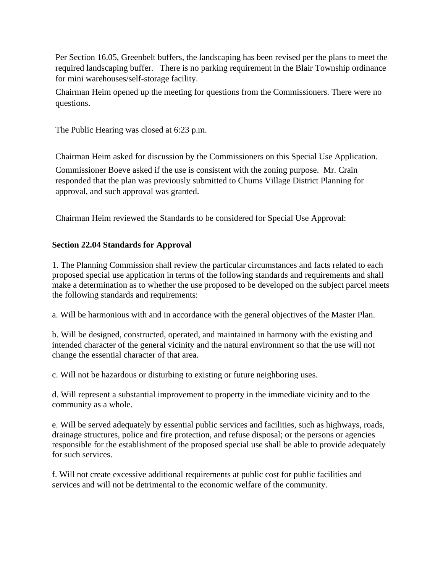Per Section 16.05, Greenbelt buffers, the landscaping has been revised per the plans to meet the required landscaping buffer. There is no parking requirement in the Blair Township ordinance for mini warehouses/self-storage facility.

Chairman Heim opened up the meeting for questions from the Commissioners. There were no questions.

The Public Hearing was closed at 6:23 p.m.

Chairman Heim asked for discussion by the Commissioners on this Special Use Application. Commissioner Boeve asked if the use is consistent with the zoning purpose. Mr. Crain responded that the plan was previously submitted to Chums Village District Planning for approval, and such approval was granted.

Chairman Heim reviewed the Standards to be considered for Special Use Approval:

# **Section 22.04 Standards for Approval**

1. The Planning Commission shall review the particular circumstances and facts related to each proposed special use application in terms of the following standards and requirements and shall make a determination as to whether the use proposed to be developed on the subject parcel meets the following standards and requirements:

a. Will be harmonious with and in accordance with the general objectives of the Master Plan.

b. Will be designed, constructed, operated, and maintained in harmony with the existing and intended character of the general vicinity and the natural environment so that the use will not change the essential character of that area.

c. Will not be hazardous or disturbing to existing or future neighboring uses.

d. Will represent a substantial improvement to property in the immediate vicinity and to the community as a whole.

e. Will be served adequately by essential public services and facilities, such as highways, roads, drainage structures, police and fire protection, and refuse disposal; or the persons or agencies responsible for the establishment of the proposed special use shall be able to provide adequately for such services.

f. Will not create excessive additional requirements at public cost for public facilities and services and will not be detrimental to the economic welfare of the community.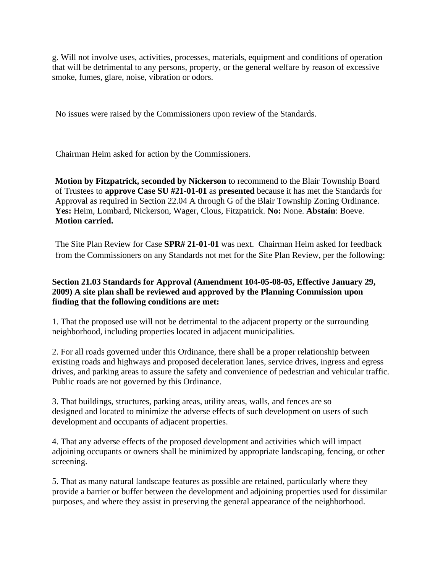g. Will not involve uses, activities, processes, materials, equipment and conditions of operation that will be detrimental to any persons, property, or the general welfare by reason of excessive smoke, fumes, glare, noise, vibration or odors.

No issues were raised by the Commissioners upon review of the Standards.

Chairman Heim asked for action by the Commissioners.

**Motion by Fitzpatrick, seconded by Nickerson** to recommend to the Blair Township Board of Trustees to **approve Case SU #21-01-01** as **presented** because it has met the Standards for Approval as required in Section 22.04 A through G of the Blair Township Zoning Ordinance. **Yes:** Heim, Lombard, Nickerson, Wager, Clous, Fitzpatrick. **No:** None. **Abstain**: Boeve. **Motion carried.** 

The Site Plan Review for Case **SPR# 21-01-01** was next. Chairman Heim asked for feedback from the Commissioners on any Standards not met for the Site Plan Review, per the following:

### **Section 21.03 Standards for Approval (Amendment 104-05-08-05, Effective January 29, 2009) A site plan shall be reviewed and approved by the Planning Commission upon finding that the following conditions are met:**

1. That the proposed use will not be detrimental to the adjacent property or the surrounding neighborhood, including properties located in adjacent municipalities.

2. For all roads governed under this Ordinance, there shall be a proper relationship between existing roads and highways and proposed deceleration lanes, service drives, ingress and egress drives, and parking areas to assure the safety and convenience of pedestrian and vehicular traffic. Public roads are not governed by this Ordinance.

3. That buildings, structures, parking areas, utility areas, walls, and fences are so designed and located to minimize the adverse effects of such development on users of such development and occupants of adjacent properties.

4. That any adverse effects of the proposed development and activities which will impact adjoining occupants or owners shall be minimized by appropriate landscaping, fencing, or other screening.

5. That as many natural landscape features as possible are retained, particularly where they provide a barrier or buffer between the development and adjoining properties used for dissimilar purposes, and where they assist in preserving the general appearance of the neighborhood.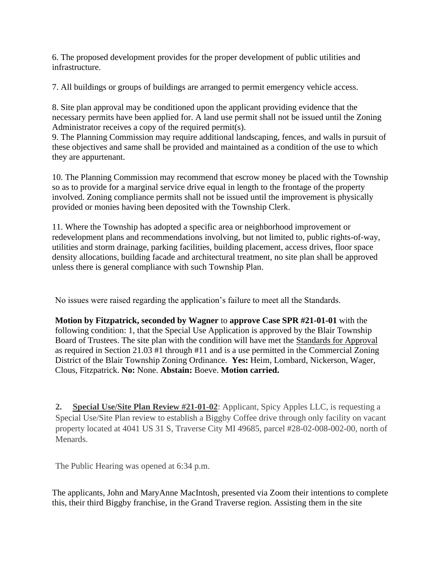6. The proposed development provides for the proper development of public utilities and infrastructure.

7. All buildings or groups of buildings are arranged to permit emergency vehicle access.

8. Site plan approval may be conditioned upon the applicant providing evidence that the necessary permits have been applied for. A land use permit shall not be issued until the Zoning Administrator receives a copy of the required permit(s).

9. The Planning Commission may require additional landscaping, fences, and walls in pursuit of these objectives and same shall be provided and maintained as a condition of the use to which they are appurtenant.

10. The Planning Commission may recommend that escrow money be placed with the Township so as to provide for a marginal service drive equal in length to the frontage of the property involved. Zoning compliance permits shall not be issued until the improvement is physically provided or monies having been deposited with the Township Clerk.

11. Where the Township has adopted a specific area or neighborhood improvement or redevelopment plans and recommendations involving, but not limited to, public rights-of-way, utilities and storm drainage, parking facilities, building placement, access drives, floor space density allocations, building facade and architectural treatment, no site plan shall be approved unless there is general compliance with such Township Plan.

No issues were raised regarding the application's failure to meet all the Standards.

**Motion by Fitzpatrick, seconded by Wagner** to **approve Case SPR #21-01-01** with the following condition: 1, that the Special Use Application is approved by the Blair Township Board of Trustees. The site plan with the condition will have met the Standards for Approval as required in Section 21.03 #1 through #11 and is a use permitted in the Commercial Zoning District of the Blair Township Zoning Ordinance. **Yes:** Heim, Lombard, Nickerson, Wager, Clous, Fitzpatrick. **No:** None. **Abstain:** Boeve. **Motion carried.** 

**2. Special Use/Site Plan Review #21-01-02**: Applicant, Spicy Apples LLC, is requesting a Special Use/Site Plan review to establish a Biggby Coffee drive through only facility on vacant property located at 4041 US 31 S, Traverse City MI 49685, parcel #28-02-008-002-00, north of Menards.

The Public Hearing was opened at 6:34 p.m.

The applicants, John and MaryAnne MacIntosh, presented via Zoom their intentions to complete this, their third Biggby franchise, in the Grand Traverse region. Assisting them in the site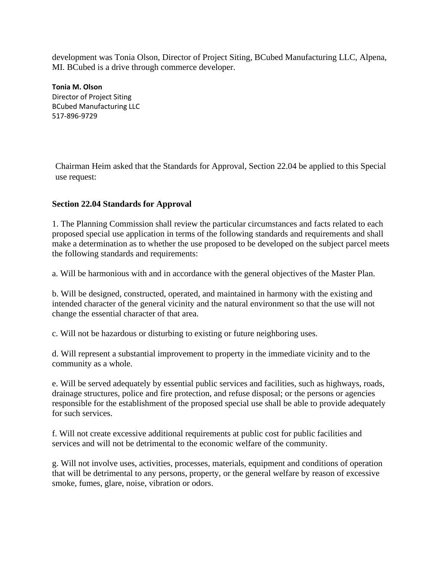development was Tonia Olson, Director of Project Siting, BCubed Manufacturing LLC, Alpena, MI. BCubed is a drive through commerce developer.

**Tonia M. Olson** Director of Project Siting BCubed Manufacturing LLC 517-896-9729

Chairman Heim asked that the Standards for Approval, Section 22.04 be applied to this Special use request:

# **Section 22.04 Standards for Approval**

1. The Planning Commission shall review the particular circumstances and facts related to each proposed special use application in terms of the following standards and requirements and shall make a determination as to whether the use proposed to be developed on the subject parcel meets the following standards and requirements:

a. Will be harmonious with and in accordance with the general objectives of the Master Plan.

b. Will be designed, constructed, operated, and maintained in harmony with the existing and intended character of the general vicinity and the natural environment so that the use will not change the essential character of that area.

c. Will not be hazardous or disturbing to existing or future neighboring uses.

d. Will represent a substantial improvement to property in the immediate vicinity and to the community as a whole.

e. Will be served adequately by essential public services and facilities, such as highways, roads, drainage structures, police and fire protection, and refuse disposal; or the persons or agencies responsible for the establishment of the proposed special use shall be able to provide adequately for such services.

f. Will not create excessive additional requirements at public cost for public facilities and services and will not be detrimental to the economic welfare of the community.

g. Will not involve uses, activities, processes, materials, equipment and conditions of operation that will be detrimental to any persons, property, or the general welfare by reason of excessive smoke, fumes, glare, noise, vibration or odors.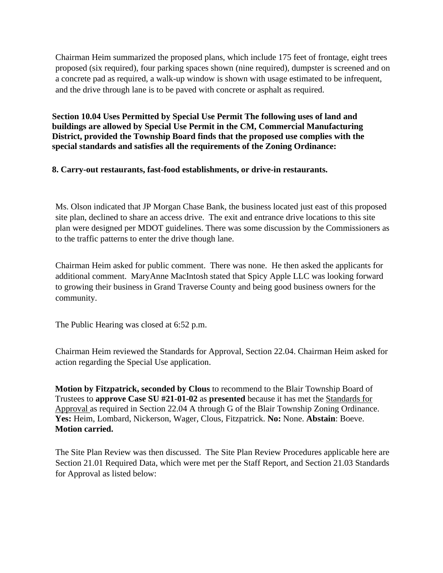Chairman Heim summarized the proposed plans, which include 175 feet of frontage, eight trees proposed (six required), four parking spaces shown (nine required), dumpster is screened and on a concrete pad as required, a walk-up window is shown with usage estimated to be infrequent, and the drive through lane is to be paved with concrete or asphalt as required.

**Section 10.04 Uses Permitted by Special Use Permit The following uses of land and buildings are allowed by Special Use Permit in the CM, Commercial Manufacturing District, provided the Township Board finds that the proposed use complies with the special standards and satisfies all the requirements of the Zoning Ordinance:**

### **8. Carry-out restaurants, fast-food establishments, or drive-in restaurants.**

Ms. Olson indicated that JP Morgan Chase Bank, the business located just east of this proposed site plan, declined to share an access drive. The exit and entrance drive locations to this site plan were designed per MDOT guidelines. There was some discussion by the Commissioners as to the traffic patterns to enter the drive though lane.

Chairman Heim asked for public comment. There was none. He then asked the applicants for additional comment. MaryAnne MacIntosh stated that Spicy Apple LLC was looking forward to growing their business in Grand Traverse County and being good business owners for the community.

The Public Hearing was closed at 6:52 p.m.

Chairman Heim reviewed the Standards for Approval, Section 22.04. Chairman Heim asked for action regarding the Special Use application.

**Motion by Fitzpatrick, seconded by Clous** to recommend to the Blair Township Board of Trustees to **approve Case SU #21-01-02** as **presented** because it has met the Standards for Approval as required in Section 22.04 A through G of the Blair Township Zoning Ordinance. **Yes:** Heim, Lombard, Nickerson, Wager, Clous, Fitzpatrick. **No:** None. **Abstain**: Boeve. **Motion carried.** 

The Site Plan Review was then discussed. The Site Plan Review Procedures applicable here are Section 21.01 Required Data, which were met per the Staff Report, and Section 21.03 Standards for Approval as listed below: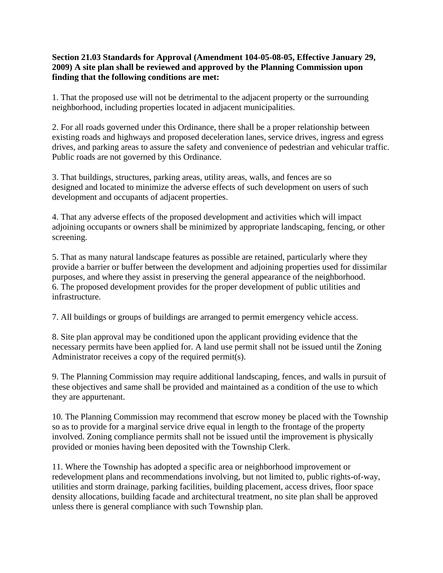### **Section 21.03 Standards for Approval (Amendment 104-05-08-05, Effective January 29, 2009) A site plan shall be reviewed and approved by the Planning Commission upon finding that the following conditions are met:**

1. That the proposed use will not be detrimental to the adjacent property or the surrounding neighborhood, including properties located in adjacent municipalities.

2. For all roads governed under this Ordinance, there shall be a proper relationship between existing roads and highways and proposed deceleration lanes, service drives, ingress and egress drives, and parking areas to assure the safety and convenience of pedestrian and vehicular traffic. Public roads are not governed by this Ordinance.

3. That buildings, structures, parking areas, utility areas, walls, and fences are so designed and located to minimize the adverse effects of such development on users of such development and occupants of adjacent properties.

4. That any adverse effects of the proposed development and activities which will impact adjoining occupants or owners shall be minimized by appropriate landscaping, fencing, or other screening.

5. That as many natural landscape features as possible are retained, particularly where they provide a barrier or buffer between the development and adjoining properties used for dissimilar purposes, and where they assist in preserving the general appearance of the neighborhood. 6. The proposed development provides for the proper development of public utilities and infrastructure.

7. All buildings or groups of buildings are arranged to permit emergency vehicle access.

8. Site plan approval may be conditioned upon the applicant providing evidence that the necessary permits have been applied for. A land use permit shall not be issued until the Zoning Administrator receives a copy of the required permit(s).

9. The Planning Commission may require additional landscaping, fences, and walls in pursuit of these objectives and same shall be provided and maintained as a condition of the use to which they are appurtenant.

10. The Planning Commission may recommend that escrow money be placed with the Township so as to provide for a marginal service drive equal in length to the frontage of the property involved. Zoning compliance permits shall not be issued until the improvement is physically provided or monies having been deposited with the Township Clerk.

11. Where the Township has adopted a specific area or neighborhood improvement or redevelopment plans and recommendations involving, but not limited to, public rights-of-way, utilities and storm drainage, parking facilities, building placement, access drives, floor space density allocations, building facade and architectural treatment, no site plan shall be approved unless there is general compliance with such Township plan.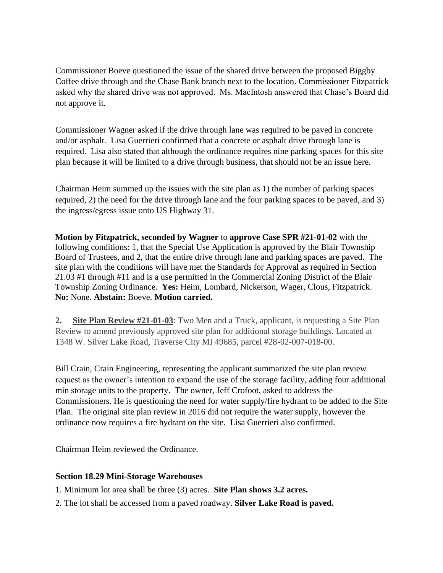Commissioner Boeve questioned the issue of the shared drive between the proposed Biggby Coffee drive through and the Chase Bank branch next to the location. Commissioner Fitzpatrick asked why the shared drive was not approved. Ms. MacIntosh answered that Chase's Board did not approve it.

Commissioner Wagner asked if the drive through lane was required to be paved in concrete and/or asphalt. Lisa Guerrieri confirmed that a concrete or asphalt drive through lane is required. Lisa also stated that although the ordinance requires nine parking spaces for this site plan because it will be limited to a drive through business, that should not be an issue here.

Chairman Heim summed up the issues with the site plan as 1) the number of parking spaces required, 2) the need for the drive through lane and the four parking spaces to be paved, and 3) the ingress/egress issue onto US Highway 31.

**Motion by Fitzpatrick, seconded by Wagner** to **approve Case SPR #21-01-02** with the following conditions: 1, that the Special Use Application is approved by the Blair Township Board of Trustees, and 2, that the entire drive through lane and parking spaces are paved. The site plan with the conditions will have met the Standards for Approval as required in Section 21.03 #1 through #11 and is a use permitted in the Commercial Zoning District of the Blair Township Zoning Ordinance. **Yes:** Heim, Lombard, Nickerson, Wager, Clous, Fitzpatrick. **No:** None. **Abstain:** Boeve. **Motion carried.** 

**2. Site Plan Review #21-01-03**: Two Men and a Truck, applicant, is requesting a Site Plan Review to amend previously approved site plan for additional storage buildings. Located at 1348 W. Silver Lake Road, Traverse City MI 49685, parcel #28-02-007-018-00.

Bill Crain, Crain Engineering, representing the applicant summarized the site plan review request as the owner's intention to expand the use of the storage facility, adding four additional min storage units to the property. The owner, Jeff Crofoot, asked to address the Commissioners. He is questioning the need for water supply/fire hydrant to be added to the Site Plan. The original site plan review in 2016 did not require the water supply, however the ordinance now requires a fire hydrant on the site. Lisa Guerrieri also confirmed.

Chairman Heim reviewed the Ordinance.

#### **Section 18.29 Mini-Storage Warehouses**

- 1. Minimum lot area shall be three (3) acres. **Site Plan shows 3.2 acres.**
- 2. The lot shall be accessed from a paved roadway. **Silver Lake Road is paved.**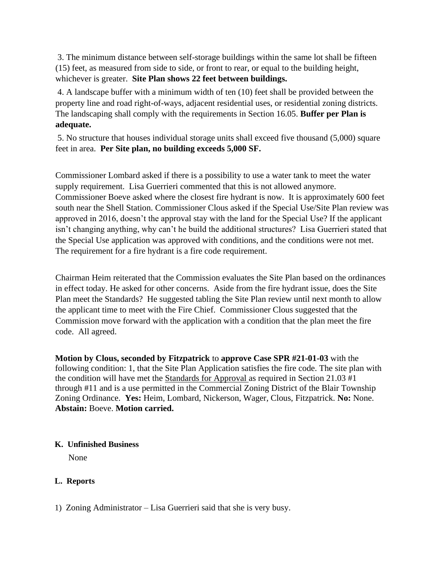3. The minimum distance between self-storage buildings within the same lot shall be fifteen (15) feet, as measured from side to side, or front to rear, or equal to the building height, whichever is greater. **Site Plan shows 22 feet between buildings.**

4. A landscape buffer with a minimum width of ten (10) feet shall be provided between the property line and road right-of-ways, adjacent residential uses, or residential zoning districts. The landscaping shall comply with the requirements in Section 16.05. **Buffer per Plan is adequate.**

5. No structure that houses individual storage units shall exceed five thousand (5,000) square feet in area. **Per Site plan, no building exceeds 5,000 SF.**

Commissioner Lombard asked if there is a possibility to use a water tank to meet the water supply requirement. Lisa Guerrieri commented that this is not allowed anymore. Commissioner Boeve asked where the closest fire hydrant is now. It is approximately 600 feet south near the Shell Station. Commissioner Clous asked if the Special Use/Site Plan review was approved in 2016, doesn't the approval stay with the land for the Special Use? If the applicant isn't changing anything, why can't he build the additional structures? Lisa Guerrieri stated that the Special Use application was approved with conditions, and the conditions were not met. The requirement for a fire hydrant is a fire code requirement.

Chairman Heim reiterated that the Commission evaluates the Site Plan based on the ordinances in effect today. He asked for other concerns. Aside from the fire hydrant issue, does the Site Plan meet the Standards? He suggested tabling the Site Plan review until next month to allow the applicant time to meet with the Fire Chief. Commissioner Clous suggested that the Commission move forward with the application with a condition that the plan meet the fire code. All agreed.

**Motion by Clous, seconded by Fitzpatrick** to **approve Case SPR #21-01-03** with the following condition: 1, that the Site Plan Application satisfies the fire code. The site plan with the condition will have met the Standards for Approval as required in Section 21.03 #1 through #11 and is a use permitted in the Commercial Zoning District of the Blair Township Zoning Ordinance. **Yes:** Heim, Lombard, Nickerson, Wager, Clous, Fitzpatrick. **No:** None. **Abstain:** Boeve. **Motion carried.** 

# **K. Unfinished Business**

None

# **L. Reports**

1) Zoning Administrator – Lisa Guerrieri said that she is very busy.